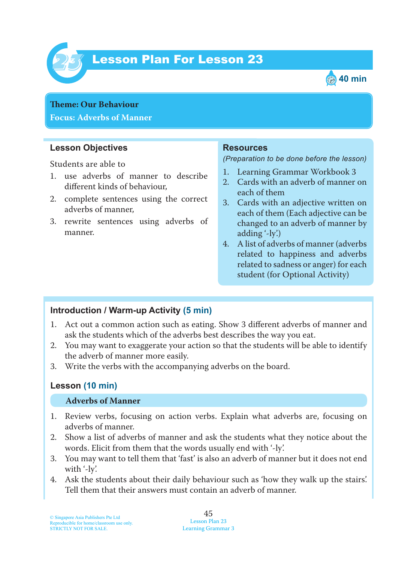

# Lesson Plan For Lesson 23 *23*



#### **Theme: Our Behaviour Focus: Adverbs of Manner**

### **Lesson Objectives**

Students are able to

- 1. use adverbs of manner to describe different kinds of behaviour,
- 2. complete sentences using the correct adverbs of manner,
- 3. rewrite sentences using adverbs of manner.

### **Resources**

*(Preparation to be done before the lesson)*

- 1. Learning Grammar Workbook 3
- 2. Cards with an adverb of manner on each of them
- 3. Cards with an adjective written on each of them (Each adjective can be changed to an adverb of manner by adding '-ly'.)
- 4. A list of adverbs of manner (adverbs related to happiness and adverbs related to sadness or anger) for each student (for Optional Activity)

### **Introduction / Warm-up Activity (5 min)**

- 1. Act out a common action such as eating. Show 3 different adverbs of manner and ask the students which of the adverbs best describes the way you eat.
- 2. You may want to exaggerate your action so that the students will be able to identify the adverb of manner more easily.
- 3. Write the verbs with the accompanying adverbs on the board.

# **Lesson (10 min)**

#### **Adverbs of Manner**

- 1. Review verbs, focusing on action verbs. Explain what adverbs are, focusing on adverbs of manner.
- 2. Show a list of adverbs of manner and ask the students what they notice about the words. Elicit from them that the words usually end with '-ly'.
- 3. You may want to tell them that 'fast' is also an adverb of manner but it does not end with '-ly'.
- 4. Ask the students about their daily behaviour such as 'how they walk up the stairs'. Tell them that their answers must contain an adverb of manner.